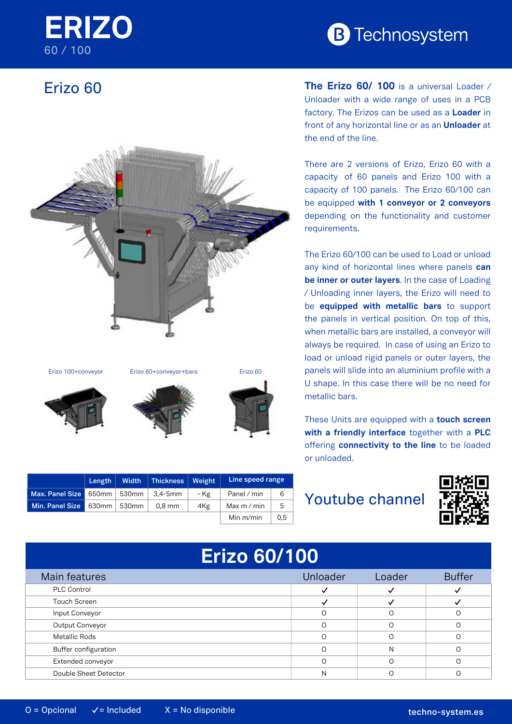## **ERIZO** 60 / 100

# **B** Technosystem

### Erizo 60



|                               | Length           | <b>Width</b> | Thickness    | Weight | Line speed range |     |
|-------------------------------|------------------|--------------|--------------|--------|------------------|-----|
| Max. Panel Size 650mm   530mm |                  |              | $3.4 - 5$ mm | - Kg   | Panel / min      | 6   |
| Min. Panel Size               | $630$ mm   530mm |              | $0.8$ mm     | 4Kg    | Max $m/m$ in     | 5   |
|                               |                  |              |              |        | Min m/min        | 0.5 |

**The Erizo 60/ 100** is a universal Loader / Unloader with a wide range of uses in a PCB factory. The Erizos can be used as a **Loader** in front of any horizontal line or as an **Unloader** at the end of the line.

There are 2 versions of Erizo, Erizo 60 with a capacity of 60 panels and Erizo 100 with a capacity of 100 panels. The Erizo 60/100 can be equipped **with 1 conveyor or 2 conveyors** depending on the functionality and customer requirements.

metallic bars. **EXECUTE:** panels will slide into an aluminium profile with a The Erizo 60/100 can be used to Load or unload any kind of horizontal lines where panels **can be inner or outer layers**. In the case of Loading / Unloading inner layers, the Erizo will need to be **equipped with metallic bars** to support the panels in vertical position. On top of this, when metallic bars are installed, a conveyor will always be required. In case of using an Erizo to load or unload rigid panels or outer layers, the U shape. In this case there will be no need for

These Units are equipped with a **touch screen** offering **connectivity to the line** to be loaded or unloaded. **with a friendly interface** together with a **PLC**

#### Youtube channel



# **Erizo 60/100**

| Main features         | Unloader | Loader | <b>Buffer</b> |
|-----------------------|----------|--------|---------------|
| <b>PLC Control</b>    |          |        |               |
| Touch Screen          |          |        |               |
| Input Conveyor        |          |        |               |
| Output Conveyor       |          |        |               |
| Metallic Rods         |          |        |               |
| Buffer configuration  |          | N      |               |
| Extended conveyor     |          |        |               |
| Double Sheet Detector | N        |        |               |